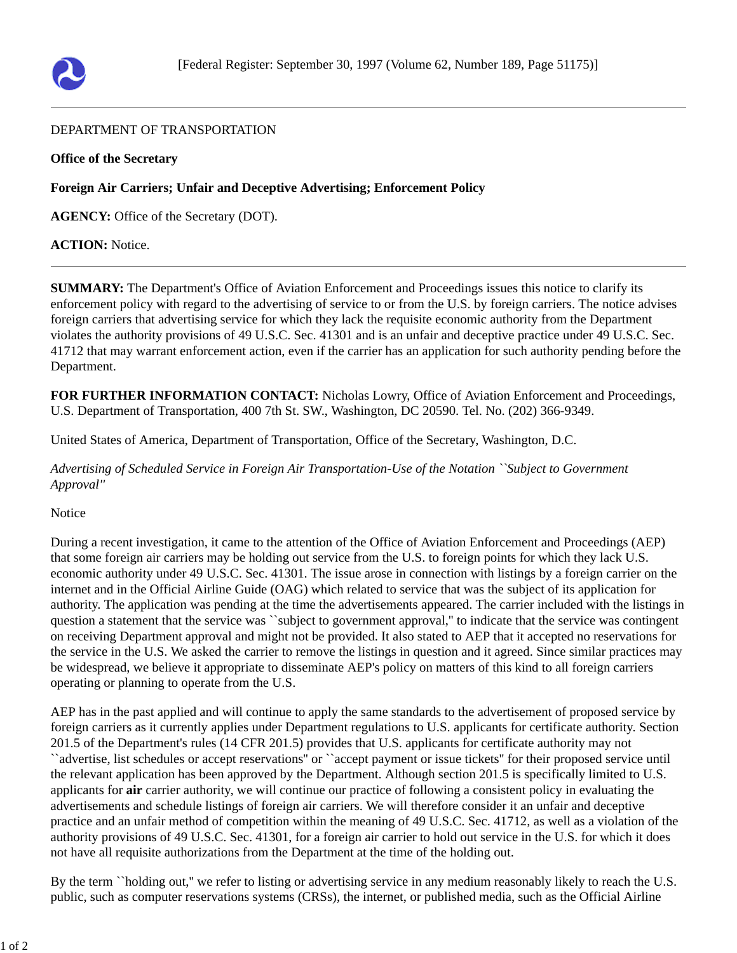

## DEPARTMENT OF TRANSPORTATION

## **Office of the Secretary**

**Foreign Air Carriers; Unfair and Deceptive Advertising; Enforcement Policy**

**AGENCY:** Office of the Secretary (DOT).

## **ACTION:** Notice.

**SUMMARY:** The Department's Office of Aviation Enforcement and Proceedings issues this notice to clarify its enforcement policy with regard to the advertising of service to or from the U.S. by foreign carriers. The notice advises foreign carriers that advertising service for which they lack the requisite economic authority from the Department violates the authority provisions of 49 U.S.C. Sec. 41301 and is an unfair and deceptive practice under 49 U.S.C. Sec. 41712 that may warrant enforcement action, even if the carrier has an application for such authority pending before the Department.

**FOR FURTHER INFORMATION CONTACT:** Nicholas Lowry, Office of Aviation Enforcement and Proceedings, U.S. Department of Transportation, 400 7th St. SW., Washington, DC 20590. Tel. No. (202) 366-9349.

United States of America, Department of Transportation, Office of the Secretary, Washington, D.C.

*Advertising of Scheduled Service in Foreign Air Transportation-Use of the Notation ``Subject to Government Approval''*

Notice

During a recent investigation, it came to the attention of the Office of Aviation Enforcement and Proceedings (AEP) that some foreign air carriers may be holding out service from the U.S. to foreign points for which they lack U.S. economic authority under 49 U.S.C. Sec. 41301. The issue arose in connection with listings by a foreign carrier on the internet and in the Official Airline Guide (OAG) which related to service that was the subject of its application for authority. The application was pending at the time the advertisements appeared. The carrier included with the listings in question a statement that the service was ``subject to government approval,'' to indicate that the service was contingent on receiving Department approval and might not be provided. It also stated to AEP that it accepted no reservations for the service in the U.S. We asked the carrier to remove the listings in question and it agreed. Since similar practices may be widespread, we believe it appropriate to disseminate AEP's policy on matters of this kind to all foreign carriers operating or planning to operate from the U.S.

AEP has in the past applied and will continue to apply the same standards to the advertisement of proposed service by foreign carriers as it currently applies under Department regulations to U.S. applicants for certificate authority. Section 201.5 of the Department's rules (14 CFR 201.5) provides that U.S. applicants for certificate authority may not ``advertise, list schedules or accept reservations'' or ``accept payment or issue tickets'' for their proposed service until the relevant application has been approved by the Department. Although section 201.5 is specifically limited to U.S. applicants for **air** carrier authority, we will continue our practice of following a consistent policy in evaluating the advertisements and schedule listings of foreign air carriers. We will therefore consider it an unfair and deceptive practice and an unfair method of competition within the meaning of 49 U.S.C. Sec. 41712, as well as a violation of the authority provisions of 49 U.S.C. Sec. 41301, for a foreign air carrier to hold out service in the U.S. for which it does not have all requisite authorizations from the Department at the time of the holding out.

By the term ``holding out,'' we refer to listing or advertising service in any medium reasonably likely to reach the U.S. public, such as computer reservations systems (CRSs), the internet, or published media, such as the Official Airline